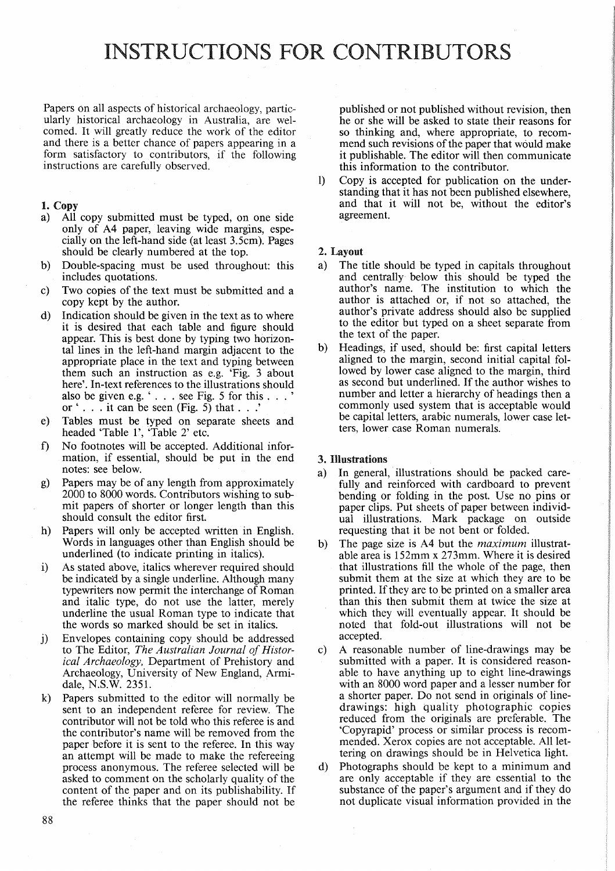# INSTRUCTIONS FOR CONTRIBUTORS

Papers on all aspects of historical archaeology, particularly historical archaeology in Australia, are welcomed. It will greatly reduce the work of the editor and there is a better chance of papers appearing in a form satisfactory to contributors, if the following instructions are carefully observed.

## 1. Copy

- a) All copy submitted must be typed, on one side only of A4 paper, leaving wide margins, especially on the left-hand side (at least 3.5cm). Pages should be clearly numbered at the top.
- b) Double-spacing must be used throughout: this includes quotations.
- c) Two copies of the text must be submitted and a copy kept by the author.
- d) Indication should be given in the text as to where it is desired that each table and figure should appear. This is best done by typing two horizontal lines in the left-hand margin adjacent to the appropriate place in the text and typing between them such an instruction as e.g. 'Fig. 3 about here'. In-text references to the illustrations should also be given e.g. '... see Fig. 5 for this ... or  $\cdot$  . . . it can be seen (Fig. 5) that . . .
- e) Tables must be typed on separate sheets and headed 'Table 1', 'Table 2' etc.
- f) No footnotes will be accepted. Additional information, if essential, should be put in the end notes: see below.
- g) Papers may be of any length from approximately 2000 to 8000 words. Contributors wishing to submit papers of shorter or longer length than this should consult the editor first.
- h) Papers will only be accepted written in English. Words in languages other than English should be underlined (to indicate printing in italics).
- i) As stated above, italics wherever required should be indicated by a single underline. Although many typewriters now permit the interchange of Roman and italic type, do not use the latter, merely underline the usual Roman type to indicate that the words so marked should be set in italics.
- j) Envelopes containing copy should be addressed to The Editor, The Australian Journal of Histor*ical Archaeology,* Department of Prehistory and Archaeology, University of New England, Armidale, N.S.W. 2351.
- k) Papers submitted to the editor will normally be sent to an independent referee for review. The contributor will not be told who this referee is and the contributor's name will be removed from the paper before it is sent to the referee. In this way an attempt will be made to make the refereeing process anonymous. The referee selected will be asked to comment on the scholarly quality of the content of the paper and on its publishability. If the referee thinks that the paper should not be

published or not published without revision, then he or she will be asked to state their reasons for so thinking and, where appropriate, to recommend such revisions of the paper that would make it publishable. The editor will then communicate this information to the contributor.

1) Copy is accepted for publication on the understanding that it has not been published elsewhere, and that it will not be, without the editor's agreement.

#### 2. Layout

- a) The title should be typed in capitals throughout and centrally below this should be typed the author's name. The institution to which the author is attached or, if not so attached, the author's private address should also be supplied to the editor but typed on a sheet separate from the text of the paper.
- b) Headings, if used, should be: first capital letters aligned to the margin, second initial capital followed by lower case aligned to the margin, third as second but underlined. If the author wishes to number and letter a hierarchy of headings then a commonly used system that is acceptable would be capital letters, arabic numerals, lower case letters, lower case Roman numerals.

# 3. Illustrations

- a) In general, illustrations should be packed carefully and reinforced with cardboard to prevent bending or folding in the post. Use no pins or paper clips. Put sheets of paper between individual illustrations. Mark package on outside requesting that it be not bent or folded.
- b) The page size is A4 but the *maximum* illustratable area is 152mm x 273mm. Where it is desired that illustrations fill the whole of the page, then submit them at the size at which they are to be printed. If they are to be printed on a smaller area than this then submit them at twice the size at which they will eventually appear. It should be noted that fold-out illustrations will not be accepted.
- c) A reasonable number of line-drawings may be submitted with a paper. It is considered reasonable to have anything up to eight line-drawings with an 8000 word paper and a lesser number for a shorter paper. Do not send in originals of linedrawings: high quality photographic copies reduced from the originals are preferable. The 'Copyrapid' process or similar process is recommended. Xerox copies are not acceptable. All lettering on drawings should be in Helvetica light.
- d) Photographs should be kept to a minimum and are only acceptable if they are essential to the substance of the paper's argument and if they do not duplicate visual information provided in the